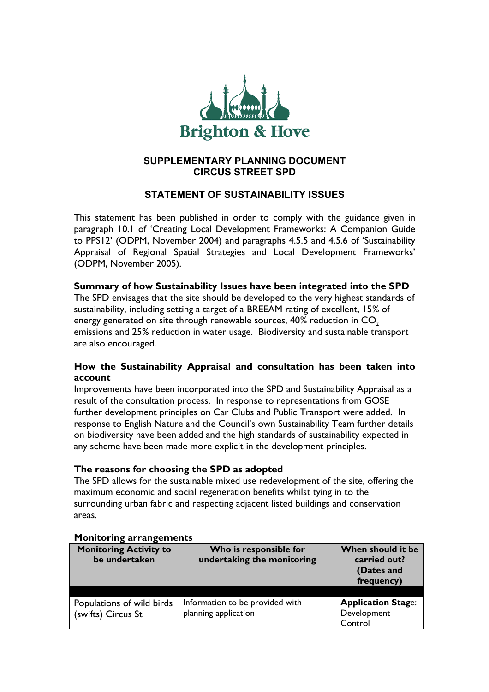

## **SUPPLEMENTARY PLANNING DOCUMENT CIRCUS STREET SPD**

# **STATEMENT OF SUSTAINABILITY ISSUES**

This statement has been published in order to comply with the guidance given in paragraph 10.1 of 'Creating Local Development Frameworks: A Companion Guide to PPS12' (ODPM, November 2004) and paragraphs 4.5.5 and 4.5.6 of 'Sustainability Appraisal of Regional Spatial Strategies and Local Development Frameworks' (ODPM, November 2005).

#### **Summary of how Sustainability Issues have been integrated into the SPD**

The SPD envisages that the site should be developed to the very highest standards of sustainability, including setting a target of a BREEAM rating of excellent, 15% of energy generated on site through renewable sources,  $40\%$  reduction in  $CO<sub>2</sub>$ emissions and 25% reduction in water usage. Biodiversity and sustainable transport are also encouraged.

### **How the Sustainability Appraisal and consultation has been taken into account**

Improvements have been incorporated into the SPD and Sustainability Appraisal as a result of the consultation process. In response to representations from GOSE further development principles on Car Clubs and Public Transport were added. In response to English Nature and the Council's own Sustainability Team further details on biodiversity have been added and the high standards of sustainability expected in any scheme have been made more explicit in the development principles.

### **The reasons for choosing the SPD as adopted**

The SPD allows for the sustainable mixed use redevelopment of the site, offering the maximum economic and social regeneration benefits whilst tying in to the surrounding urban fabric and respecting adjacent listed buildings and conservation areas.

| <b>Monitoring Activity to</b><br>be undertaken  | Who is responsible for<br>undertaking the monitoring    | When should it be<br>carried out?<br>(Dates and<br>frequency) |
|-------------------------------------------------|---------------------------------------------------------|---------------------------------------------------------------|
| Populations of wild birds<br>(swifts) Circus St | Information to be provided with<br>planning application | <b>Application Stage:</b><br>Development<br>Control           |

#### **Monitoring arrangements**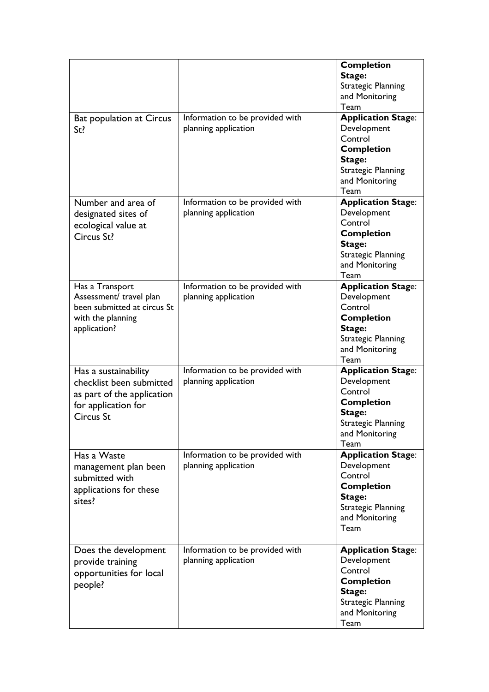|                                 |                                 | <b>Completion</b>         |
|---------------------------------|---------------------------------|---------------------------|
|                                 |                                 | Stage:                    |
|                                 |                                 | <b>Strategic Planning</b> |
|                                 |                                 | and Monitoring            |
|                                 |                                 | Team                      |
| <b>Bat population at Circus</b> | Information to be provided with | <b>Application Stage:</b> |
|                                 | planning application            | Development               |
| St?                             |                                 | Control                   |
|                                 |                                 |                           |
|                                 |                                 | <b>Completion</b>         |
|                                 |                                 | Stage:                    |
|                                 |                                 | <b>Strategic Planning</b> |
|                                 |                                 | and Monitoring            |
|                                 |                                 | Team                      |
| Number and area of              | Information to be provided with | <b>Application Stage:</b> |
| designated sites of             | planning application            | Development               |
| ecological value at             |                                 | Control                   |
| Circus St?                      |                                 | <b>Completion</b>         |
|                                 |                                 | Stage:                    |
|                                 |                                 | <b>Strategic Planning</b> |
|                                 |                                 | and Monitoring            |
|                                 |                                 | Team                      |
| Has a Transport                 | Information to be provided with | <b>Application Stage:</b> |
| Assessment/ travel plan         | planning application            | Development               |
| been submitted at circus St     |                                 | Control                   |
| with the planning               |                                 | <b>Completion</b>         |
|                                 |                                 | Stage:                    |
| application?                    |                                 |                           |
|                                 |                                 | <b>Strategic Planning</b> |
|                                 |                                 | and Monitoring            |
|                                 |                                 | Team                      |
| Has a sustainability            | Information to be provided with | <b>Application Stage:</b> |
| checklist been submitted        | planning application            | Development               |
| as part of the application      |                                 | Control                   |
| for application for             |                                 | <b>Completion</b>         |
| <b>Circus St</b>                |                                 | Stage:                    |
|                                 |                                 | <b>Strategic Planning</b> |
|                                 |                                 | and Monitoring            |
|                                 |                                 | Team                      |
| Has a Waste                     | Information to be provided with | <b>Application Stage:</b> |
| management plan been            | planning application            | Development               |
| submitted with                  |                                 | Control                   |
|                                 |                                 | <b>Completion</b>         |
| applications for these          |                                 | Stage:                    |
| sites?                          |                                 | <b>Strategic Planning</b> |
|                                 |                                 | and Monitoring            |
|                                 |                                 | Team                      |
|                                 |                                 |                           |
| Does the development            | Information to be provided with | <b>Application Stage:</b> |
|                                 | planning application            | Development               |
| provide training                |                                 | Control                   |
| opportunities for local         |                                 | <b>Completion</b>         |
| people?                         |                                 |                           |
|                                 |                                 | Stage:                    |
|                                 |                                 | <b>Strategic Planning</b> |
|                                 |                                 | and Monitoring            |
|                                 |                                 | Team                      |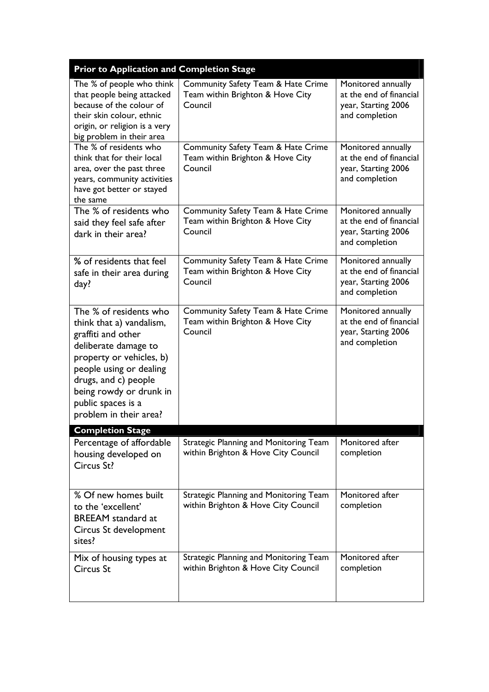| <b>Prior to Application and Completion Stage</b>                                                                                                                                                                                                           |                                                                                   |                                                                                        |
|------------------------------------------------------------------------------------------------------------------------------------------------------------------------------------------------------------------------------------------------------------|-----------------------------------------------------------------------------------|----------------------------------------------------------------------------------------|
| The % of people who think<br>that people being attacked<br>because of the colour of<br>their skin colour, ethnic<br>origin, or religion is a very<br>big problem in their area                                                                             | Community Safety Team & Hate Crime<br>Team within Brighton & Hove City<br>Council | Monitored annually<br>at the end of financial<br>year, Starting 2006<br>and completion |
| The % of residents who<br>think that for their local<br>area, over the past three<br>years, community activities<br>have got better or stayed<br>the same                                                                                                  | Community Safety Team & Hate Crime<br>Team within Brighton & Hove City<br>Council | Monitored annually<br>at the end of financial<br>year, Starting 2006<br>and completion |
| The % of residents who<br>said they feel safe after<br>dark in their area?                                                                                                                                                                                 | Community Safety Team & Hate Crime<br>Team within Brighton & Hove City<br>Council | Monitored annually<br>at the end of financial<br>year, Starting 2006<br>and completion |
| % of residents that feel<br>safe in their area during<br>day?                                                                                                                                                                                              | Community Safety Team & Hate Crime<br>Team within Brighton & Hove City<br>Council | Monitored annually<br>at the end of financial<br>year, Starting 2006<br>and completion |
| The % of residents who<br>think that a) vandalism,<br>graffiti and other<br>deliberate damage to<br>property or vehicles, b)<br>people using or dealing<br>drugs, and c) people<br>being rowdy or drunk in<br>public spaces is a<br>problem in their area? | Community Safety Team & Hate Crime<br>Team within Brighton & Hove City<br>Council | Monitored annually<br>at the end of financial<br>year, Starting 2006<br>and completion |
| <b>Completion Stage</b>                                                                                                                                                                                                                                    |                                                                                   |                                                                                        |
| Percentage of affordable<br>housing developed on<br>Circus St?                                                                                                                                                                                             | Strategic Planning and Monitoring Team<br>within Brighton & Hove City Council     | Monitored after<br>completion                                                          |
| % Of new homes built<br>to the 'excellent'<br><b>BREEAM</b> standard at<br>Circus St development<br>sites?                                                                                                                                                 | Strategic Planning and Monitoring Team<br>within Brighton & Hove City Council     | Monitored after<br>completion                                                          |
| Mix of housing types at<br>Circus St                                                                                                                                                                                                                       | Strategic Planning and Monitoring Team<br>within Brighton & Hove City Council     | Monitored after<br>completion                                                          |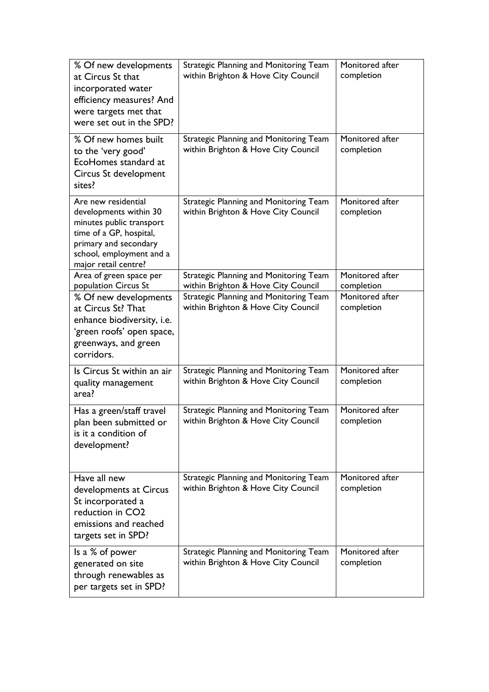| % Of new developments<br>at Circus St that<br>incorporated water<br>efficiency measures? And<br>were targets met that<br>were set out in the SPD?                                 | Strategic Planning and Monitoring Team<br>within Brighton & Hove City Council                                        | Monitored after<br>completion               |
|-----------------------------------------------------------------------------------------------------------------------------------------------------------------------------------|----------------------------------------------------------------------------------------------------------------------|---------------------------------------------|
| % Of new homes built<br>to the 'very good'<br>EcoHomes standard at<br>Circus St development<br>sites?                                                                             | Strategic Planning and Monitoring Team<br>within Brighton & Hove City Council                                        | Monitored after<br>completion               |
| Are new residential<br>developments within 30<br>minutes public transport<br>time of a GP, hospital,<br>primary and secondary<br>school, employment and a<br>major retail centre? | Strategic Planning and Monitoring Team<br>within Brighton & Hove City Council                                        | Monitored after<br>completion               |
| Area of green space per                                                                                                                                                           | Strategic Planning and Monitoring Team                                                                               | Monitored after                             |
| population Circus St<br>% Of new developments<br>at Circus St? That<br>enhance biodiversity, i.e.<br>'green roofs' open space,<br>greenways, and green<br>corridors.              | within Brighton & Hove City Council<br>Strategic Planning and Monitoring Team<br>within Brighton & Hove City Council | completion<br>Monitored after<br>completion |
| Is Circus St within an air<br>quality management<br>area?                                                                                                                         | Strategic Planning and Monitoring Team<br>within Brighton & Hove City Council                                        | Monitored after<br>completion               |
| Has a green/staff travel<br>plan been submitted or<br>is it a condition of<br>development?                                                                                        | Strategic Planning and Monitoring Team<br>within Brighton & Hove City Council                                        | Monitored after<br>completion               |
| Have all new<br>developments at Circus<br>St incorporated a<br>reduction in CO <sub>2</sub><br>emissions and reached<br>targets set in SPD?                                       | Strategic Planning and Monitoring Team<br>within Brighton & Hove City Council                                        | Monitored after<br>completion               |
| Is a % of power<br>generated on site<br>through renewables as<br>per targets set in SPD?                                                                                          | Strategic Planning and Monitoring Team<br>within Brighton & Hove City Council                                        | Monitored after<br>completion               |